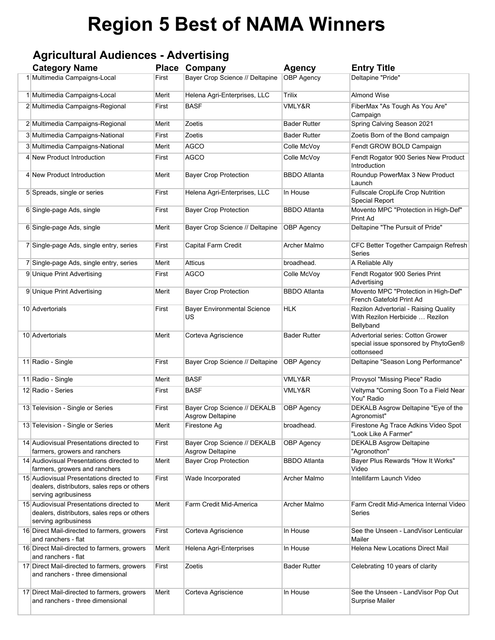# **Region 5 Best of NAMA Winners**

### **Agricultural Audiences - Advertising**

| <b>Category Name</b>                                                                                            |       | <b>Place Company</b>                                    | <b>Agency</b>       | <b>Entry Title</b>                                                                      |
|-----------------------------------------------------------------------------------------------------------------|-------|---------------------------------------------------------|---------------------|-----------------------------------------------------------------------------------------|
| 1 Multimedia Campaigns-Local                                                                                    | First | Bayer Crop Science // Deltapine                         | <b>OBP Agency</b>   | Deltapine "Pride"                                                                       |
| 1 Multimedia Campaigns-Local                                                                                    | Merit | Helena Agri-Enterprises, LLC                            | Trilix              | <b>Almond Wise</b>                                                                      |
| 2 Multimedia Campaigns-Regional                                                                                 | First | <b>BASF</b>                                             | VMLY&R              | FiberMax "As Tough As You Are"<br>Campaign                                              |
| 2 Multimedia Campaigns-Regional                                                                                 | Merit | Zoetis                                                  | <b>Bader Rutter</b> | Spring Calving Season 2021                                                              |
| 3 Multimedia Campaigns-National                                                                                 | First | Zoetis                                                  | <b>Bader Rutter</b> | Zoetis Born of the Bond campaign                                                        |
| 3 Multimedia Campaigns-National                                                                                 | Merit | <b>AGCO</b>                                             | Colle McVoy         | Fendt GROW BOLD Campaign                                                                |
| 4 New Product Introduction                                                                                      | First | <b>AGCO</b>                                             | Colle McVoy         | Fendt Rogator 900 Series New Product<br>Introduction                                    |
| 4 New Product Introduction                                                                                      | Merit | <b>Bayer Crop Protection</b>                            | <b>BBDO Atlanta</b> | Roundup PowerMax 3 New Product<br>Launch                                                |
| 5 Spreads, single or series                                                                                     | First | Helena Agri-Enterprises, LLC                            | In House            | <b>Fullscale CropLife Crop Nutrition</b><br><b>Special Report</b>                       |
| 6 Single-page Ads, single                                                                                       | First | <b>Bayer Crop Protection</b>                            | <b>BBDO</b> Atlanta | Movento MPC "Protection in High-Def"<br>Print Ad                                        |
| 6 Single-page Ads, single                                                                                       | Merit | Bayer Crop Science // Deltapine                         | <b>OBP Agency</b>   | Deltapine "The Pursuit of Pride"                                                        |
| 7 Single-page Ads, single entry, series                                                                         | First | Capital Farm Credit                                     | <b>Archer Malmo</b> | CFC Better Together Campaign Refresh<br>Series                                          |
| 7 Single-page Ads, single entry, series                                                                         | Merit | Atticus                                                 | broadhead.          | A Reliable Ally                                                                         |
| 9 Unique Print Advertising                                                                                      | First | <b>AGCO</b>                                             | Colle McVoy         | Fendt Rogator 900 Series Print<br>Advertising                                           |
| 9 Unique Print Advertising                                                                                      | Merit | <b>Bayer Crop Protection</b>                            | <b>BBDO</b> Atlanta | Movento MPC "Protection in High-Def"<br>French Gatefold Print Ad                        |
| 10 Advertorials                                                                                                 | First | <b>Bayer Environmental Science</b><br>US                | <b>HLK</b>          | Rezilon Advertorial - Raising Quality<br>With Rezilon Herbicide  Rezilon<br>Bellyband   |
| 10 Advertorials                                                                                                 | Merit | Corteva Agriscience                                     | <b>Bader Rutter</b> | Advertorial series: Cotton Grower<br>special issue sponsored by PhytoGen®<br>cottonseed |
| 11 Radio - Single                                                                                               | First | Bayer Crop Science // Deltapine                         | <b>OBP Agency</b>   | Deltapine "Season Long Performance"                                                     |
| 11 Radio - Single                                                                                               | Merit | <b>BASF</b>                                             | VMLY&R              | Provysol "Missing Piece" Radio                                                          |
| 12 Radio - Series                                                                                               | First | <b>BASF</b>                                             | VMLY&R              | Veltyma "Coming Soon To a Field Near<br>You" Radio                                      |
| 13 Television - Single or Series                                                                                | First | Bayer Crop Science // DEKALB<br><b>Asgrow Deltapine</b> | <b>OBP Agency</b>   | DEKALB Asgrow Deltapine "Eye of the<br>Agronomist"                                      |
| 13 Television - Single or Series                                                                                | Merit | Firestone Ag                                            | broadhead.          | Firestone Ag Trace Adkins Video Spot<br>"Look Like A Farmer"                            |
| 14 Audiovisual Presentations directed to<br>farmers, growers and ranchers                                       | First | Bayer Crop Science // DEKALB<br>Asgrow Deltapine        | <b>OBP Agency</b>   | <b>DEKALB Asgrow Deltapine</b><br>"Agronothon"                                          |
| 14 Audiovisual Presentations directed to<br>farmers, growers and ranchers                                       | Merit | <b>Bayer Crop Protection</b>                            | <b>BBDO Atlanta</b> | Bayer Plus Rewards "How It Works"<br>Video                                              |
| 15 Audiovisual Presentations directed to<br>dealers, distributors, sales reps or others<br>serving agribusiness | First | Wade Incorporated                                       | Archer Malmo        | Intellifarm Launch Video                                                                |
| 15 Audiovisual Presentations directed to<br>dealers, distributors, sales reps or others<br>serving agribusiness | Merit | Farm Credit Mid-America                                 | Archer Malmo        | Farm Credit Mid-America Internal Video<br>Series                                        |
| 16 Direct Mail-directed to farmers, growers<br>and ranchers - flat                                              | First | Corteva Agriscience                                     | In House            | See the Unseen - LandVisor Lenticular<br>Mailer                                         |
| 16 Direct Mail-directed to farmers, growers<br>and ranchers - flat                                              | Merit | Helena Agri-Enterprises                                 | In House            | Helena New Locations Direct Mail                                                        |
| 17 Direct Mail-directed to farmers, growers<br>and ranchers - three dimensional                                 | First | Zoetis                                                  | <b>Bader Rutter</b> | Celebrating 10 years of clarity                                                         |
| 17 Direct Mail-directed to farmers, growers<br>and ranchers - three dimensional                                 | Merit | Corteva Agriscience                                     | In House            | See the Unseen - LandVisor Pop Out<br><b>Surprise Mailer</b>                            |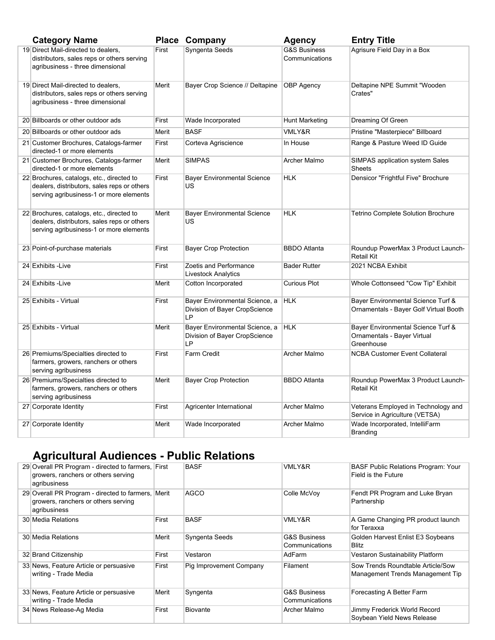| <b>Category Name</b>                                                                                                                |       | Place Company                                                                | <b>Agency</b>                             | <b>Entry Title</b>                                                              |
|-------------------------------------------------------------------------------------------------------------------------------------|-------|------------------------------------------------------------------------------|-------------------------------------------|---------------------------------------------------------------------------------|
| 19 Direct Mail-directed to dealers,<br>distributors, sales reps or others serving<br>agribusiness - three dimensional               | First | Syngenta Seeds                                                               | <b>G&amp;S Business</b><br>Communications | Agrisure Field Day in a Box                                                     |
| 19 Direct Mail-directed to dealers,<br>distributors, sales reps or others serving<br>agribusiness - three dimensional               | Merit | Bayer Crop Science // Deltapine                                              | <b>OBP</b> Agency                         | Deltapine NPE Summit "Wooden<br>Crates"                                         |
| 20 Billboards or other outdoor ads                                                                                                  | First | Wade Incorporated                                                            | <b>Hunt Marketing</b>                     | Dreaming Of Green                                                               |
| 20 Billboards or other outdoor ads                                                                                                  | Merit | <b>BASF</b>                                                                  | VMLY&R                                    | Pristine "Masterpiece" Billboard                                                |
| 21 Customer Brochures, Catalogs-farmer<br>directed-1 or more elements                                                               | First | Corteva Agriscience                                                          | In House                                  | Range & Pasture Weed ID Guide                                                   |
| 21 Customer Brochures, Catalogs-farmer<br>directed-1 or more elements                                                               | Merit | <b>SIMPAS</b>                                                                | Archer Malmo                              | SIMPAS application system Sales<br><b>Sheets</b>                                |
| 22 Brochures, catalogs, etc., directed to<br>dealers, distributors, sales reps or others<br>serving agribusiness-1 or more elements | First | <b>Bayer Environmental Science</b><br>US                                     | <b>HLK</b>                                | Densicor "Frightful Five" Brochure                                              |
| 22 Brochures, catalogs, etc., directed to<br>dealers, distributors, sales reps or others<br>serving agribusiness-1 or more elements | Merit | <b>Bayer Environmental Science</b><br>US                                     | <b>HLK</b>                                | <b>Tetrino Complete Solution Brochure</b>                                       |
| 23 Point-of-purchase materials                                                                                                      | First | <b>Bayer Crop Protection</b>                                                 | <b>BBDO</b> Atlanta                       | Roundup PowerMax 3 Product Launch-<br>Retail Kit                                |
| 24 Exhibits - Live                                                                                                                  | First | Zoetis and Performance<br><b>Livestock Analytics</b>                         | <b>Bader Rutter</b>                       | 2021 NCBA Exhibit                                                               |
| 24 Exhibits - Live                                                                                                                  | Merit | Cotton Incorporated                                                          | <b>Curious Plot</b>                       | Whole Cottonseed "Cow Tip" Exhibit                                              |
| 25 Exhibits - Virtual                                                                                                               | First | Bayer Environmental Science, a<br>Division of Bayer CropScience<br><b>LP</b> | <b>HLK</b>                                | Bayer Environmental Science Turf &<br>Ornamentals - Bayer Golf Virtual Booth    |
| 25 Exhibits - Virtual                                                                                                               | Merit | Bayer Environmental Science, a<br>Division of Bayer CropScience<br>LP        | <b>HLK</b>                                | Bayer Environmental Science Turf &<br>Ornamentals - Bayer Virtual<br>Greenhouse |
| 26 Premiums/Specialties directed to<br>farmers, growers, ranchers or others<br>serving agribusiness                                 | First | <b>Farm Credit</b>                                                           | Archer Malmo                              | <b>NCBA Customer Event Collateral</b>                                           |
| 26 Premiums/Specialties directed to<br>farmers, growers, ranchers or others<br>serving agribusiness                                 | Merit | <b>Bayer Crop Protection</b>                                                 | <b>BBDO</b> Atlanta                       | Roundup PowerMax 3 Product Launch-<br>Retail Kit                                |
| 27 Corporate Identity                                                                                                               | First | Agricenter International                                                     | <b>Archer Malmo</b>                       | Veterans Employed in Technology and<br>Service in Agriculture (VETSA)           |
| 27 Corporate Identity                                                                                                               | Merit | Wade Incorporated                                                            | Archer Malmo                              | Wade Incorporated, IntelliFarm<br><b>Branding</b>                               |

## **Agricultural Audiences - Public Relations**

| 29 Overall PR Program - directed to farmers, First<br>growers, ranchers or others serving<br>agribusiness |       | <b>BASF</b>             | <b>VMLY&amp;R</b>                         | <b>BASF Public Relations Program: Your</b><br>Field is the Future     |
|-----------------------------------------------------------------------------------------------------------|-------|-------------------------|-------------------------------------------|-----------------------------------------------------------------------|
| 29 Overall PR Program - directed to farmers,<br>growers, ranchers or others serving<br>agribusiness       | Merit | <b>AGCO</b>             | Colle McVoy                               | Fendt PR Program and Luke Bryan<br>Partnership                        |
| 30 Media Relations                                                                                        | First | <b>BASF</b>             | <b>VMLY&amp;R</b>                         | A Game Changing PR product launch<br>for Teraxxa                      |
| 30 Media Relations                                                                                        | Merit | Syngenta Seeds          | <b>G&amp;S Business</b><br>Communications | Golden Harvest Enlist E3 Soybeans<br><b>Blitz</b>                     |
| 32 Brand Citizenship                                                                                      | First | Vestaron                | AdFarm                                    | Vestaron Sustainability Platform                                      |
| 33 News, Feature Article or persuasive<br>writing - Trade Media                                           | First | Pig Improvement Company | Filament                                  | Sow Trends Roundtable Article/Sow<br>Management Trends Management Tip |
| 33 News, Feature Article or persuasive<br>writing - Trade Media                                           | Merit | Syngenta                | <b>G&amp;S Business</b><br>Communications | Forecasting A Better Farm                                             |
| 34 News Release-Ag Media                                                                                  | First | Biovante                | Archer Malmo                              | Jimmy Frederick World Record<br>Soybean Yield News Release            |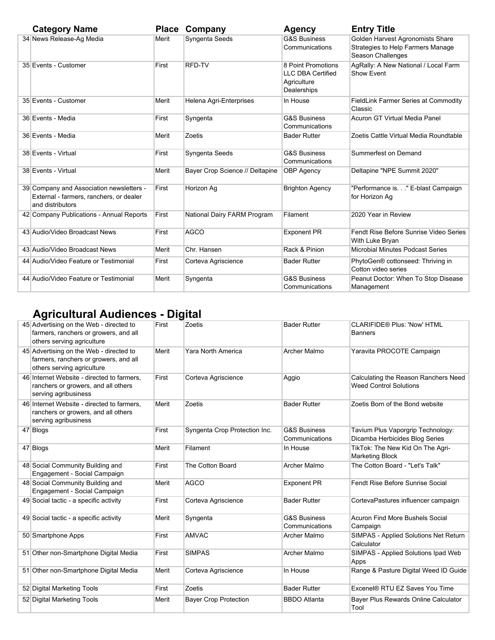| <b>Category Name</b>                                                                                    | <b>Place</b> | Company                         | <b>Agency</b>                                                                | <b>Entry Title</b>                                                                         |
|---------------------------------------------------------------------------------------------------------|--------------|---------------------------------|------------------------------------------------------------------------------|--------------------------------------------------------------------------------------------|
| 34 News Release-Ag Media                                                                                | Merit        | Syngenta Seeds                  | <b>G&amp;S Business</b><br>Communications                                    | Golden Harvest Agronomists Share<br>Strategies to Help Farmers Manage<br>Season Challenges |
| 35 Events - Customer                                                                                    | First        | RFD-TV                          | 8 Point Promotions<br><b>LLC DBA Certified</b><br>Agriculture<br>Dealerships | AgRally: A New National / Local Farm<br>Show Event                                         |
| 35 Events - Customer                                                                                    | Merit        | Helena Agri-Enterprises         | In House                                                                     | FieldLink Farmer Series at Commodity<br>Classic                                            |
| 36 Events - Media                                                                                       | First        | Syngenta                        | <b>G&amp;S Business</b><br>Communications                                    | Acuron GT Virtual Media Panel                                                              |
| 36 Events - Media                                                                                       | Merit        | Zoetis                          | <b>Bader Rutter</b>                                                          | Zoetis Cattle Virtual Media Roundtable                                                     |
| 38 Events - Virtual                                                                                     | First        | Syngenta Seeds                  | <b>G&amp;S Business</b><br>Communications                                    | Summerfest on Demand                                                                       |
| 38 Events - Virtual                                                                                     | Merit        | Bayer Crop Science // Deltapine | <b>OBP Agency</b>                                                            | Deltapine "NPE Summit 2020"                                                                |
| 39 Company and Association newsletters -<br>External - farmers, ranchers, or dealer<br>and distributors | First        | Horizon Ag                      | <b>Brighton Agency</b>                                                       | "Performance is" E-blast Campaign<br>for Horizon Ag                                        |
| 42 Company Publications - Annual Reports                                                                | First        | National Dairy FARM Program     | Filament                                                                     | 2020 Year in Review                                                                        |
| 43 Audio/Video Broadcast News                                                                           | First        | <b>AGCO</b>                     | <b>Exponent PR</b>                                                           | Fendt Rise Before Sunrise Video Series<br>With Luke Bryan                                  |
| 43 Audio/Video Broadcast News                                                                           | Merit        | Chr. Hansen                     | Rack & Pinion                                                                | <b>Microbial Minutes Podcast Series</b>                                                    |
| 44 Audio/Video Feature or Testimonial                                                                   | First        | Corteva Agriscience             | <b>Bader Rutter</b>                                                          | PhytoGen® cottonseed: Thriving in<br>Cotton video series                                   |
| 44 Audio/Video Feature or Testimonial                                                                   | Merit        | Syngenta                        | <b>G&amp;S Business</b><br>Communications                                    | Peanut Doctor: When To Stop Disease<br>Management                                          |

## **Agricultural Audiences - Digital**

| 45 Advertising on the Web - directed to<br>farmers, ranchers or growers, and all<br>others serving agriculture | First | Zoetis                        | <b>Bader Rutter</b>                       | CLARIFIDE® Plus: 'Now' HTML<br><b>Banners</b>                         |
|----------------------------------------------------------------------------------------------------------------|-------|-------------------------------|-------------------------------------------|-----------------------------------------------------------------------|
| 45 Advertising on the Web - directed to<br>farmers, ranchers or growers, and all<br>others serving agriculture | Merit | Yara North America            | Archer Malmo                              | Yaravita PROCOTE Campaign                                             |
| 46 Internet Website - directed to farmers.<br>ranchers or growers, and all others<br>serving agribusiness      | First | Corteva Agriscience           | Aggio                                     | Calculating the Reason Ranchers Need<br><b>Weed Control Solutions</b> |
| 46 Internet Website - directed to farmers.<br>ranchers or growers, and all others<br>serving agribusiness      | Merit | Zoetis                        | <b>Bader Rutter</b>                       | Zoetis Born of the Bond website                                       |
| 47 Blogs                                                                                                       | First | Syngenta Crop Protection Inc. | <b>G&amp;S Business</b><br>Communications | Tavium Plus Vaporgrip Technology:<br>Dicamba Herbicides Blog Series   |
| 47 Blogs                                                                                                       | Merit | Filament                      | In House                                  | TikTok: The New Kid On The Agri-<br><b>Marketing Block</b>            |
| 48 Social Community Building and<br>Engagement - Social Campaign                                               | First | The Cotton Board              | <b>Archer Malmo</b>                       | The Cotton Board - "Let's Talk"                                       |
| 48 Social Community Building and<br>Engagement - Social Campaign                                               | Merit | <b>AGCO</b>                   | <b>Exponent PR</b>                        | Fendt Rise Before Sunrise Social                                      |
| 49 Social tactic - a specific activity                                                                         | First | Corteva Agriscience           | <b>Bader Rutter</b>                       | CortevaPastures influencer campaign                                   |
| 49 Social tactic - a specific activity                                                                         | Merit | Syngenta                      | <b>G&amp;S Business</b><br>Communications | <b>Acuron Find More Bushels Social</b><br>Campaign                    |
| 50 Smartphone Apps                                                                                             | First | <b>AMVAC</b>                  | <b>Archer Malmo</b>                       | SIMPAS - Applied Solutions Net Return<br>Calculator                   |
| 51 Other non-Smartphone Digital Media                                                                          | First | <b>SIMPAS</b>                 | Archer Malmo                              | SIMPAS - Applied Solutions Ipad Web<br>Apps                           |
| 51 Other non-Smartphone Digital Media                                                                          | Merit | Corteva Agriscience           | In House                                  | Range & Pasture Digital Weed ID Guide                                 |
| 52 Digital Marketing Tools                                                                                     | First | Zoetis                        | <b>Bader Rutter</b>                       | Excenel® RTU EZ Saves You Time                                        |
| 52 Digital Marketing Tools                                                                                     | Merit | <b>Bayer Crop Protection</b>  | <b>BBDO</b> Atlanta                       | Bayer Plus Rewards Online Calculator<br>Tool                          |